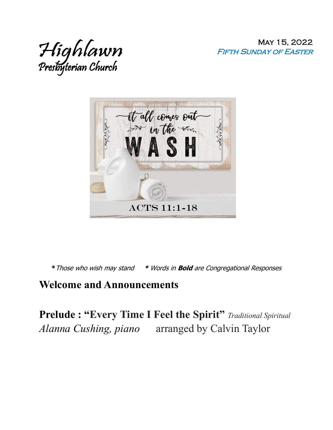May 15, 2022 Fifth Sunday of Easter





**\***Those who wish may stand **\*** Words in **Bold** are Congregational Responses

#### **Welcome and Announcements**

**Prelude : "Every Time I Feel the Spirit"** *Traditional Spiritual Alanna Cushing, piano* arranged by Calvin Taylor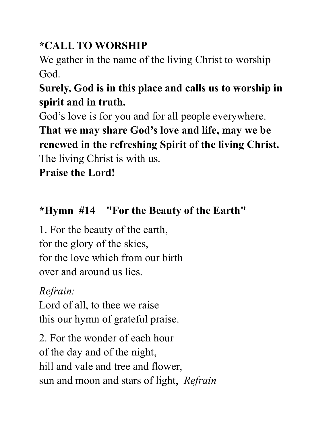# **\*CALL TO WORSHIP**

We gather in the name of the living Christ to worship God.

# **Surely, God is in this place and calls us to worship in spirit and in truth.**

God's love is for you and for all people everywhere.

**That we may share God's love and life, may we be renewed in the refreshing Spirit of the living Christ.** The living Christ is with us.

**Praise the Lord!**

# **\*Hymn #14 "For the Beauty of the Earth"**

1. For the beauty of the earth, for the glory of the skies, for the love which from our birth over and around us lies.

# *Refrain:*

Lord of all, to thee we raise this our hymn of grateful praise.

2. For the wonder of each hour of the day and of the night, hill and vale and tree and flower, sun and moon and stars of light, *Refrain*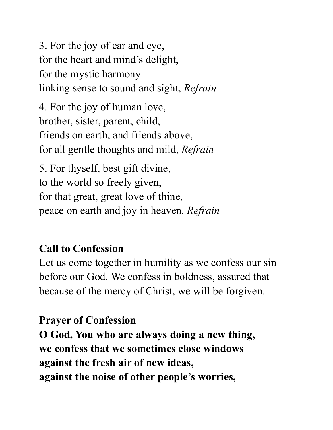3. For the joy of ear and eye, for the heart and mind's delight, for the mystic harmony linking sense to sound and sight, *Refrain*

4. For the joy of human love, brother, sister, parent, child, friends on earth, and friends above, for all gentle thoughts and mild, *Refrain*

5. For thyself, best gift divine, to the world so freely given, for that great, great love of thine, peace on earth and joy in heaven. *Refrain*

### **Call to Confession**

Let us come together in humility as we confess our sin before our God. We confess in boldness, assured that because of the mercy of Christ, we will be forgiven.

### **Prayer of Confession**

**O God, You who are always doing a new thing, we confess that we sometimes close windows against the fresh air of new ideas, against the noise of other people's worries,**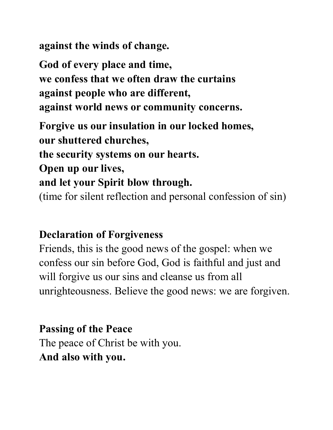**against the winds of change.**

**God of every place and time, we confess that we often draw the curtains against people who are different, against world news or community concerns.**

**Forgive us our insulation in our locked homes, our shuttered churches,** 

**the security systems on our hearts.** 

**Open up our lives,** 

#### **and let your Spirit blow through.**

(time for silent reflection and personal confession of sin)

#### **Declaration of Forgiveness**

Friends, this is the good news of the gospel: when we confess our sin before God, God is faithful and just and will forgive us our sins and cleanse us from all unrighteousness. Believe the good news: we are forgiven.

#### **Passing of the Peace**

The peace of Christ be with you. **And also with you.**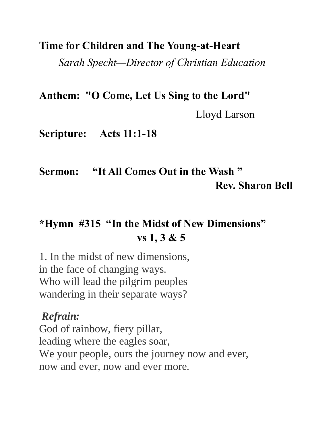#### **Time for Children and The Young-at-Heart**

*Sarah Specht—Director of Christian Education*

**Anthem: "O Come, Let Us Sing to the Lord"**

Lloyd Larson

**Scripture: Acts 11:1-18** 

# **Sermon: "It All Comes Out in the Wash " Rev. Sharon Bell**

# **\*Hymn #315 "In the Midst of New Dimensions" vs 1, 3 & 5**

1. In the midst of new dimensions, in the face of changing ways. Who will lead the pilgrim peoples wandering in their separate ways?

#### *Refrain:*

God of rainbow, fiery pillar, leading where the eagles soar, We your people, ours the journey now and ever, now and ever, now and ever more.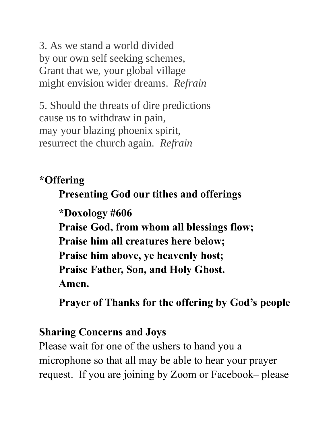3. As we stand a world divided by our own self seeking schemes, Grant that we, your global village might envision wider dreams. *Refrain*

5. Should the threats of dire predictions cause us to withdraw in pain, may your blazing phoenix spirit, resurrect the church again. *Refrain*

### **\*Offering**

## **Presenting God our tithes and offerings**

**\*Doxology #606 Praise God, from whom all blessings flow; Praise him all creatures here below; Praise him above, ye heavenly host; Praise Father, Son, and Holy Ghost. Amen.**

**Prayer of Thanks for the offering by God's people**

### **Sharing Concerns and Joys**

Please wait for one of the ushers to hand you a microphone so that all may be able to hear your prayer request. If you are joining by Zoom or Facebook– please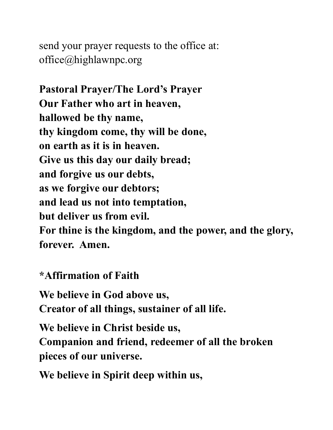send your prayer requests to the office at: office@highlawnpc.org

**Pastoral Prayer/The Lord's Prayer Our Father who art in heaven, hallowed be thy name, thy kingdom come, thy will be done, on earth as it is in heaven. Give us this day our daily bread; and forgive us our debts, as we forgive our debtors; and lead us not into temptation, but deliver us from evil. For thine is the kingdom, and the power, and the glory, forever. Amen.** 

**\*Affirmation of Faith**

**We believe in God above us, Creator of all things, sustainer of all life.**

**We believe in Christ beside us, Companion and friend, redeemer of all the broken pieces of our universe.**

**We believe in Spirit deep within us,**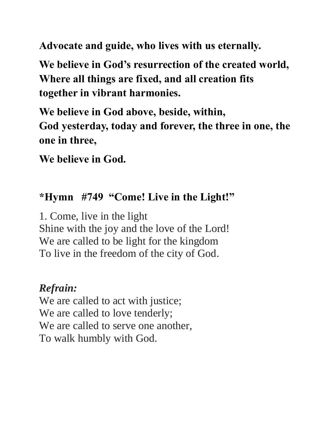**Advocate and guide, who lives with us eternally.**

**We believe in God's resurrection of the created world, Where all things are fixed, and all creation fits together in vibrant harmonies.**

**We believe in God above, beside, within, God yesterday, today and forever, the three in one, the one in three,**

**We believe in God.**

### **\*Hymn #749 "Come! Live in the Light!"**

1. Come, live in the light Shine with the joy and the love of the Lord! We are called to be light for the kingdom To live in the freedom of the city of God.

### *Refrain:*

We are called to act with justice; We are called to love tenderly; We are called to serve one another, To walk humbly with God.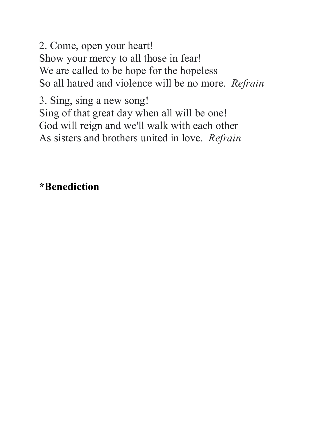2. Come, open your heart! Show your mercy to all those in fear! We are called to be hope for the hopeless So all hatred and violence will be no more. *Refrain*

3. Sing, sing a new song! Sing of that great day when all will be one! God will reign and we'll walk with each other As sisters and brothers united in love. *Refrain*

### **\*Benediction**